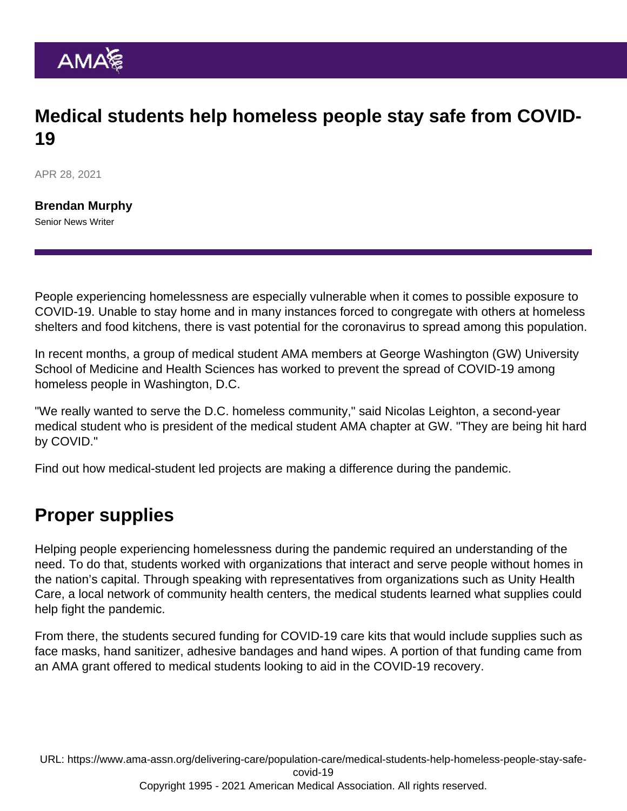## Medical students help homeless people stay safe from COVID-19

APR 28, 2021

[Brendan Murphy](https://www.ama-assn.org/news-leadership-viewpoints/authors-news-leadership-viewpoints/brendan-murphy) Senior News Writer

People experiencing homelessness are especially vulnerable when it comes to possible exposure to COVID-19. Unable to stay home and in many instances forced to congregate with others at homeless shelters and food kitchens, there is vast potential for the coronavirus to spread among this population.

In recent months, a group of medical student AMA members at George Washington (GW) University School of Medicine and Health Sciences has worked to prevent the spread of COVID-19 among homeless people in Washington, D.C.

"We really wanted to serve the D.C. homeless community," said Nicolas Leighton, a second-year medical student who is president of the medical student AMA chapter at GW. "They are being hit hard by COVID."

Find out [how medical-student led projects are making a difference during the pandemic](https://www.ama-assn.org/education/accelerating-change-medical-education/these-medical-student-led-projects-make-impact).

## Proper supplies

Helping people experiencing homelessness during the pandemic required an understanding of the need. To do that, students worked with organizations that interact and serve people without homes in the nation's capital. Through speaking with representatives from organizations such as Unity Health Care, a local network of community health centers, the medical students learned what supplies could help fight the pandemic.

From there, the students secured funding for COVID-19 care kits that would include supplies such as face masks, hand sanitizer, adhesive bandages and hand wipes. A portion of that funding came from an AMA grant offered to medical students looking to aid in the COVID-19 recovery.

URL: [https://www.ama-assn.org/delivering-care/population-care/medical-students-help-homeless-people-stay-safe](https://www.ama-assn.org/delivering-care/population-care/medical-students-help-homeless-people-stay-safe-covid-19)[covid-19](https://www.ama-assn.org/delivering-care/population-care/medical-students-help-homeless-people-stay-safe-covid-19)